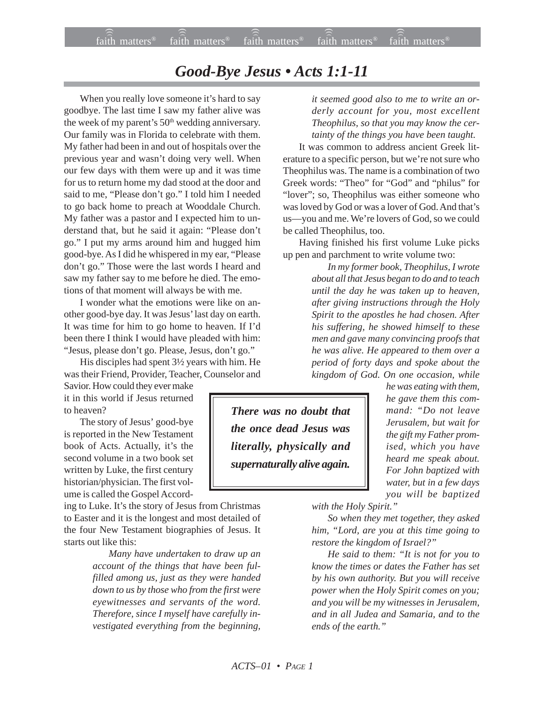## *Good-Bye Jesus • Acts 1:1-11*

When you really love someone it's hard to say goodbye. The last time I saw my father alive was the week of my parent's  $50<sup>th</sup>$  wedding anniversary. Our family was in Florida to celebrate with them. My father had been in and out of hospitals over the previous year and wasn't doing very well. When our few days with them were up and it was time for us to return home my dad stood at the door and said to me, "Please don't go." I told him I needed to go back home to preach at Wooddale Church. My father was a pastor and I expected him to understand that, but he said it again: "Please don't go." I put my arms around him and hugged him good-bye. As I did he whispered in my ear, "Please don't go." Those were the last words I heard and saw my father say to me before he died. The emotions of that moment will always be with me.

I wonder what the emotions were like on another good-bye day. It was Jesus' last day on earth. It was time for him to go home to heaven. If I'd been there I think I would have pleaded with him: "Jesus, please don't go. Please, Jesus, don't go."

His disciples had spent 3½ years with him. He was their Friend, Provider, Teacher, Counselor and

Savior. How could they ever make it in this world if Jesus returned to heaven?

The story of Jesus' good-bye is reported in the New Testament book of Acts. Actually, it's the second volume in a two book set written by Luke, the first century historian/physician. The first volume is called the Gospel Accord-

ing to Luke. It's the story of Jesus from Christmas to Easter and it is the longest and most detailed of the four New Testament biographies of Jesus. It starts out like this:

> *Many have undertaken to draw up an account of the things that have been fulfilled among us, just as they were handed down to us by those who from the first were eyewitnesses and servants of the word. Therefore, since I myself have carefully investigated everything from the beginning,*

*it seemed good also to me to write an orderly account for you, most excellent Theophilus, so that you may know the certainty of the things you have been taught.*

It was common to address ancient Greek literature to a specific person, but we're not sure who Theophilus was. The name is a combination of two Greek words: "Theo" for "God" and "philus" for "lover"; so, Theophilus was either someone who was loved by God or was a lover of God. And that's us—you and me. We're lovers of God, so we could be called Theophilus, too.

Having finished his first volume Luke picks up pen and parchment to write volume two:

> *In my former book, Theophilus, I wrote about all that Jesus began to do and to teach until the day he was taken up to heaven, after giving instructions through the Holy Spirit to the apostles he had chosen. After his suffering, he showed himself to these men and gave many convincing proofs that he was alive. He appeared to them over a period of forty days and spoke about the kingdom of God. On one occasion, while*

*There was no doubt that the once dead Jesus was literally, physically and supernaturally alive again.*

*he was eating with them, he gave them this command: "Do not leave Jerusalem, but wait for the gift my Father promised, which you have heard me speak about. For John baptized with water, but in a few days you will be baptized*

*with the Holy Spirit."*

*So when they met together, they asked him, "Lord, are you at this time going to restore the kingdom of Israel?"*

*He said to them: "It is not for you to know the times or dates the Father has set by his own authority. But you will receive power when the Holy Spirit comes on you; and you will be my witnesses in Jerusalem, and in all Judea and Samaria, and to the ends of the earth."*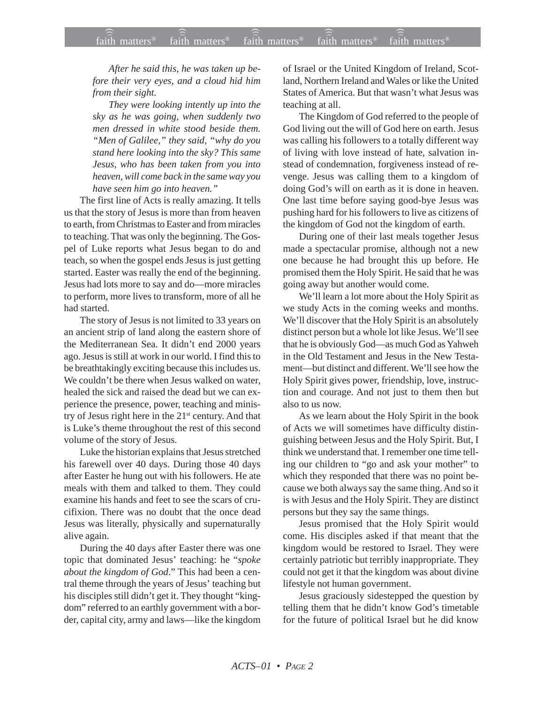*After he said this, he was taken up before their very eyes, and a cloud hid him from their sight.*

*They were looking intently up into the sky as he was going, when suddenly two men dressed in white stood beside them. "Men of Galilee," they said, "why do you stand here looking into the sky? This same Jesus, who has been taken from you into heaven, will come back in the same way you have seen him go into heaven."*

The first line of Acts is really amazing. It tells us that the story of Jesus is more than from heaven to earth, from Christmas to Easter and from miracles to teaching. That was only the beginning. The Gospel of Luke reports what Jesus began to do and teach, so when the gospel ends Jesus is just getting started. Easter was really the end of the beginning. Jesus had lots more to say and do—more miracles to perform, more lives to transform, more of all he had started.

The story of Jesus is not limited to 33 years on an ancient strip of land along the eastern shore of the Mediterranean Sea. It didn't end 2000 years ago. Jesus is still at work in our world. I find this to be breathtakingly exciting because this includes us. We couldn't be there when Jesus walked on water. healed the sick and raised the dead but we can experience the presence, power, teaching and ministry of Jesus right here in the 21<sup>st</sup> century. And that is Luke's theme throughout the rest of this second volume of the story of Jesus.

Luke the historian explains that Jesus stretched his farewell over 40 days. During those 40 days after Easter he hung out with his followers. He ate meals with them and talked to them. They could examine his hands and feet to see the scars of crucifixion. There was no doubt that the once dead Jesus was literally, physically and supernaturally alive again.

During the 40 days after Easter there was one topic that dominated Jesus' teaching: he "*spoke about the kingdom of God*." This had been a central theme through the years of Jesus' teaching but his disciples still didn't get it. They thought "kingdom" referred to an earthly government with a border, capital city, army and laws—like the kingdom of Israel or the United Kingdom of Ireland, Scotland, Northern Ireland and Wales or like the United States of America. But that wasn't what Jesus was teaching at all.

The Kingdom of God referred to the people of God living out the will of God here on earth. Jesus was calling his followers to a totally different way of living with love instead of hate, salvation instead of condemnation, forgiveness instead of revenge. Jesus was calling them to a kingdom of doing God's will on earth as it is done in heaven. One last time before saying good-bye Jesus was pushing hard for his followers to live as citizens of the kingdom of God not the kingdom of earth.

During one of their last meals together Jesus made a spectacular promise, although not a new one because he had brought this up before. He promised them the Holy Spirit. He said that he was going away but another would come.

We'll learn a lot more about the Holy Spirit as we study Acts in the coming weeks and months. We'll discover that the Holy Spirit is an absolutely distinct person but a whole lot like Jesus. We'll see that he is obviously God—as much God as Yahweh in the Old Testament and Jesus in the New Testament—but distinct and different. We'll see how the Holy Spirit gives power, friendship, love, instruction and courage. And not just to them then but also to us now.

As we learn about the Holy Spirit in the book of Acts we will sometimes have difficulty distinguishing between Jesus and the Holy Spirit. But, I think we understand that. I remember one time telling our children to "go and ask your mother" to which they responded that there was no point because we both always say the same thing. And so it is with Jesus and the Holy Spirit. They are distinct persons but they say the same things.

Jesus promised that the Holy Spirit would come. His disciples asked if that meant that the kingdom would be restored to Israel. They were certainly patriotic but terribly inappropriate. They could not get it that the kingdom was about divine lifestyle not human government.

Jesus graciously sidestepped the question by telling them that he didn't know God's timetable for the future of political Israel but he did know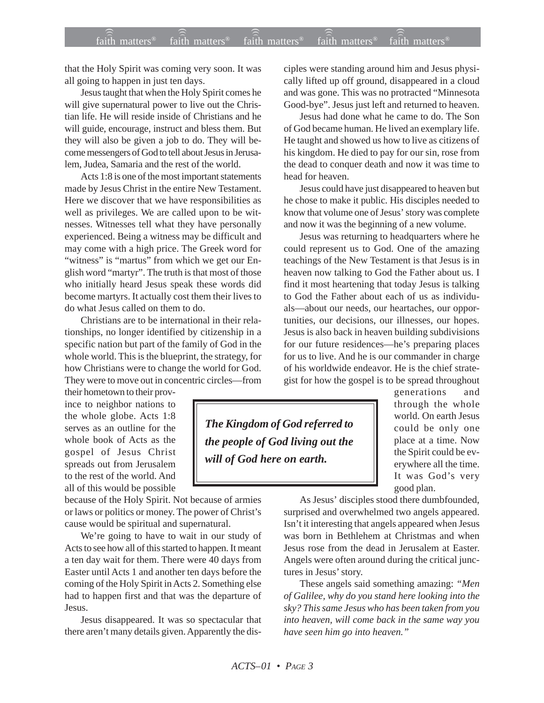that the Holy Spirit was coming very soon. It was all going to happen in just ten days.

Jesus taught that when the Holy Spirit comes he will give supernatural power to live out the Christian life. He will reside inside of Christians and he will guide, encourage, instruct and bless them. But they will also be given a job to do. They will become messengers of God to tell about Jesus in Jerusalem, Judea, Samaria and the rest of the world.

Acts 1:8 is one of the most important statements made by Jesus Christ in the entire New Testament. Here we discover that we have responsibilities as well as privileges. We are called upon to be witnesses. Witnesses tell what they have personally experienced. Being a witness may be difficult and may come with a high price. The Greek word for "witness" is "martus" from which we get our English word "martyr". The truth is that most of those who initially heard Jesus speak these words did become martyrs. It actually cost them their lives to do what Jesus called on them to do.

Christians are to be international in their relationships, no longer identified by citizenship in a specific nation but part of the family of God in the whole world. This is the blueprint, the strategy, for how Christians were to change the world for God. They were to move out in concentric circles—from

their hometown to their province to neighbor nations to the whole globe. Acts 1:8 serves as an outline for the whole book of Acts as the gospel of Jesus Christ spreads out from Jerusalem to the rest of the world. And all of this would be possible

because of the Holy Spirit. Not because of armies or laws or politics or money. The power of Christ's cause would be spiritual and supernatural.

We're going to have to wait in our study of Acts to see how all of this started to happen. It meant a ten day wait for them. There were 40 days from Easter until Acts 1 and another ten days before the coming of the Holy Spirit in Acts 2. Something else had to happen first and that was the departure of Jesus.

Jesus disappeared. It was so spectacular that there aren't many details given. Apparently the disciples were standing around him and Jesus physically lifted up off ground, disappeared in a cloud and was gone. This was no protracted "Minnesota Good-bye". Jesus just left and returned to heaven.

Jesus had done what he came to do. The Son of God became human. He lived an exemplary life. He taught and showed us how to live as citizens of his kingdom. He died to pay for our sin, rose from the dead to conquer death and now it was time to head for heaven.

Jesus could have just disappeared to heaven but he chose to make it public. His disciples needed to know that volume one of Jesus' story was complete and now it was the beginning of a new volume.

Jesus was returning to headquarters where he could represent us to God. One of the amazing teachings of the New Testament is that Jesus is in heaven now talking to God the Father about us. I find it most heartening that today Jesus is talking to God the Father about each of us as individuals—about our needs, our heartaches, our opportunities, our decisions, our illnesses, our hopes. Jesus is also back in heaven building subdivisions for our future residences—he's preparing places for us to live. And he is our commander in charge of his worldwide endeavor. He is the chief strategist for how the gospel is to be spread throughout

*The Kingdom of God referred to the people of God living out the will of God here on earth.*

generations and through the whole world. On earth Jesus could be only one place at a time. Now the Spirit could be everywhere all the time. It was God's very good plan.

As Jesus' disciples stood there dumbfounded, surprised and overwhelmed two angels appeared. Isn't it interesting that angels appeared when Jesus was born in Bethlehem at Christmas and when Jesus rose from the dead in Jerusalem at Easter. Angels were often around during the critical junctures in Jesus' story.

These angels said something amazing: *"Men of Galilee, why do you stand here looking into the sky? This same Jesus who has been taken from you into heaven, will come back in the same way you have seen him go into heaven."*